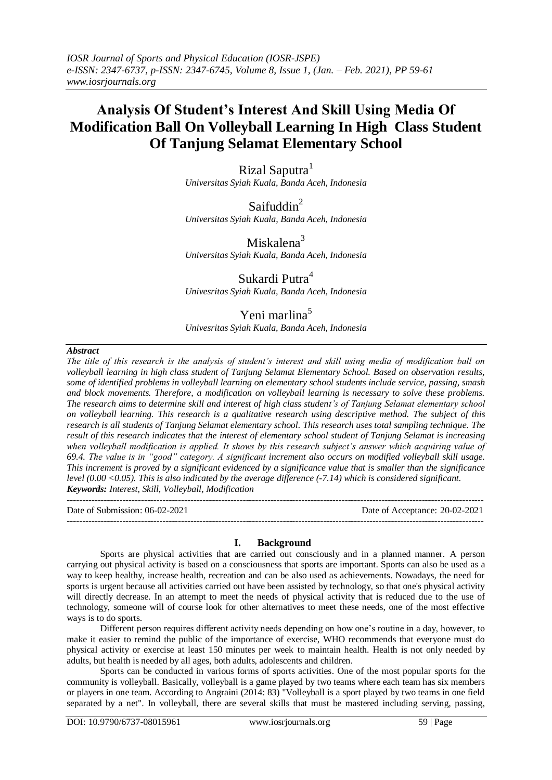# **Analysis Of Student's Interest And Skill Using Media Of Modification Ball On Volleyball Learning In High Class Student Of Tanjung Selamat Elementary School**

Rizal Saputra<sup>1</sup> *Universitas Syiah Kuala, Banda Aceh, Indonesia*

Saifuddin<sup>2</sup> *Universitas Syiah Kuala, Banda Aceh, Indonesia*

Miskalena<sup>3</sup> *Universitas Syiah Kuala, Banda Aceh, Indonesia*

Sukardi Putra<sup>4</sup>

*Univesritas Syiah Kuala, Banda Aceh, Indonesia*

# Yeni marlina<sup>5</sup>

*Univesritas Syiah Kuala, Banda Aceh, Indonesia*

# *Abstract*

*The title of this research is the analysis of student's interest and skill using media of modification ball on volleyball learning in high class student of Tanjung Selamat Elementary School. Based on observation results, some of identified problems in volleyball learning on elementary school students include service, passing, smash and block movements. Therefore, a modification on volleyball learning is necessary to solve these problems. The research aims to determine skill and interest of high class student's of Tanjung Selamat elementary school on volleyball learning. This research is a qualitative research using descriptive method. The subject of this research is all students of Tanjung Selamat elementary school. This research uses total sampling technique. The result of this research indicates that the interest of elementary school student of Tanjung Selamat is increasing*  when volleyball modification is applied. It shows by this research subject's answer which acquiring value of *69.4. The value is in "good" category. A significant increment also occurs on modified volleyball skill usage. This increment is proved by a significant evidenced by a significance value that is smaller than the significance level (0.00 <0.05). This is also indicated by the average difference (-7.14) which is considered significant. Keywords: Interest, Skill, Volleyball, Modification*

---------------------------------------------------------------------------------------------------------------------------------------

Date of Submission: 06-02-2021 Date of Acceptance: 20-02-2021 ---------------------------------------------------------------------------------------------------------------------------------------

# **I. Background**

Sports are physical activities that are carried out consciously and in a planned manner. A person carrying out physical activity is based on a consciousness that sports are important. Sports can also be used as a way to keep healthy, increase health, recreation and can be also used as achievements. Nowadays, the need for sports is urgent because all activities carried out have been assisted by technology, so that one's physical activity will directly decrease. In an attempt to meet the needs of physical activity that is reduced due to the use of technology, someone will of course look for other alternatives to meet these needs, one of the most effective ways is to do sports.

Different person requires different activity needs depending on how one's routine in a day, however, to make it easier to remind the public of the importance of exercise, WHO recommends that everyone must do physical activity or exercise at least 150 minutes per week to maintain health. Health is not only needed by adults, but health is needed by all ages, both adults, adolescents and children.

Sports can be conducted in various forms of sports activities. One of the most popular sports for the community is volleyball. Basically, volleyball is a game played by two teams where each team has six members or players in one team. According to Angraini (2014: 83) "Volleyball is a sport played by two teams in one field separated by a net". In volleyball, there are several skills that must be mastered including serving, passing,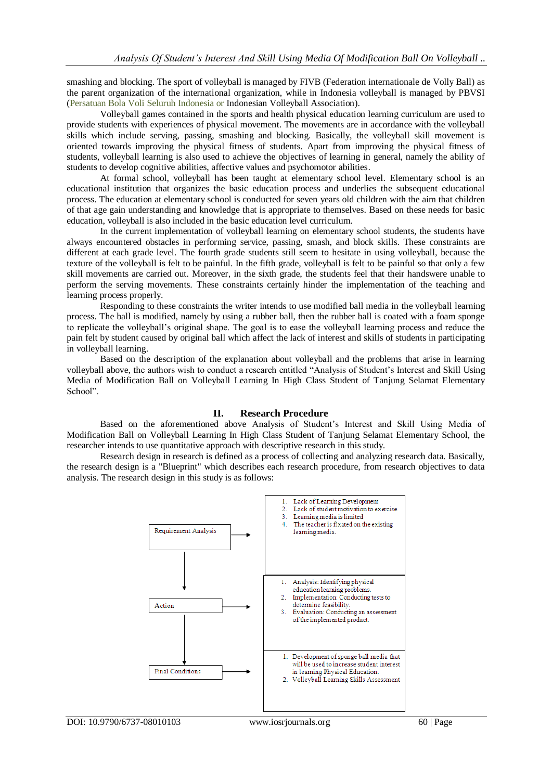smashing and blocking. The sport of volleyball is managed by FIVB (Federation internationale de Volly Ball) as the parent organization of the international organization, while in Indonesia volleyball is managed by PBVSI (Persatuan Bola Voli Seluruh Indonesia or Indonesian Volleyball Association).

Volleyball games contained in the sports and health physical education learning curriculum are used to provide students with experiences of physical movement. The movements are in accordance with the volleyball skills which include serving, passing, smashing and blocking. Basically, the volleyball skill movement is oriented towards improving the physical fitness of students. Apart from improving the physical fitness of students, volleyball learning is also used to achieve the objectives of learning in general, namely the ability of students to develop cognitive abilities, affective values and psychomotor abilities.

At formal school, volleyball has been taught at elementary school level. Elementary school is an educational institution that organizes the basic education process and underlies the subsequent educational process. The education at elementary school is conducted for seven years old children with the aim that children of that age gain understanding and knowledge that is appropriate to themselves. Based on these needs for basic education, volleyball is also included in the basic education level curriculum.

In the current implementation of volleyball learning on elementary school students, the students have always encountered obstacles in performing service, passing, smash, and block skills. These constraints are different at each grade level. The fourth grade students still seem to hesitate in using volleyball, because the texture of the volleyball is felt to be painful. In the fifth grade, volleyball is felt to be painful so that only a few skill movements are carried out. Moreover, in the sixth grade, the students feel that their handswere unable to perform the serving movements. These constraints certainly hinder the implementation of the teaching and learning process properly.

Responding to these constraints the writer intends to use modified ball media in the volleyball learning process. The ball is modified, namely by using a rubber ball, then the rubber ball is coated with a foam sponge to replicate the volleyball's original shape. The goal is to ease the volleyball learning process and reduce the pain felt by student caused by original ball which affect the lack of interest and skills of students in participating in volleyball learning.

Based on the description of the explanation about volleyball and the problems that arise in learning volleyball above, the authors wish to conduct a research entitled "Analysis of Student's Interest and Skill Using Media of Modification Ball on Volleyball Learning In High Class Student of Tanjung Selamat Elementary School".

#### **II. Research Procedure**

Based on the aforementioned above Analysis of Student's Interest and Skill Using Media of Modification Ball on Volleyball Learning In High Class Student of Tanjung Selamat Elementary School, the researcher intends to use quantitative approach with descriptive research in this study.

Research design in research is defined as a process of collecting and analyzing research data. Basically, the research design is a "Blueprint" which describes each research procedure, from research objectives to data analysis. The research design in this study is as follows: